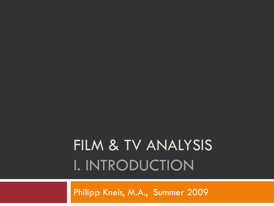# FILM & TV ANALYSIS I. INTRODUCTION

Philipp Kneis, M.A., Summer 2009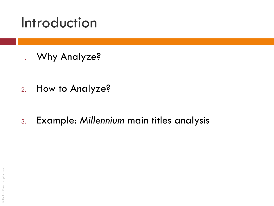#### Introduction

1. Why Analyze?

- 2. How to Analyze?
- 3. Example: *Millennium* main titles analysis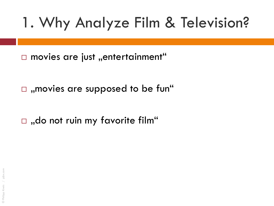$\Box$  movies are just "entertainment"

 $\Box$ , movies are supposed to be fun"

 $\Box$ , do not ruin my favorite film"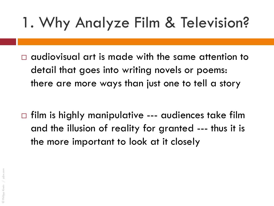$\Box$  audiovisual art is made with the same attention to detail that goes into writing novels or poems: there are more ways than just one to tell a story

 $\Box$  film is highly manipulative --- audiences take film and the illusion of reality for granted --- thus it is the more important to look at it closely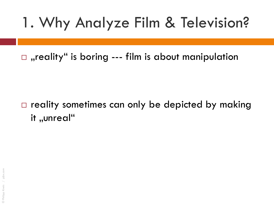$\Box$ , reality" is boring --- film is about manipulation

 $\Box$  reality sometimes can only be depicted by making it "unreal"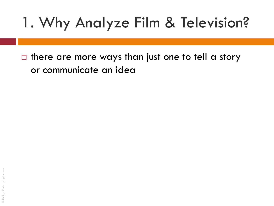$\Box$  there are more ways than just one to tell a story or communicate an idea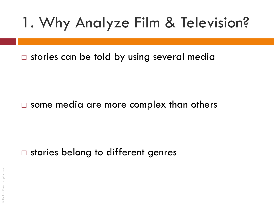$\square$  stories can be told by using several media

#### $\square$  some media are more complex than others

#### $\square$  stories belong to different genres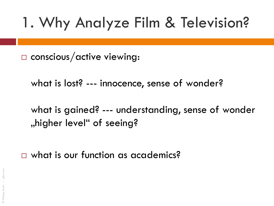$\square$  conscious/active viewing:

what is lost? --- innocence, sense of wonder?

what is gained? --- understanding, sense of wonder "higher level" of seeing?

□ what is our function as academics?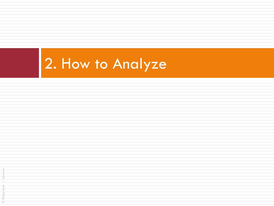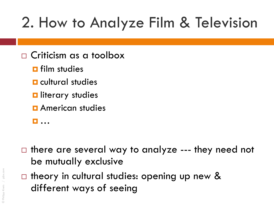# 2. How to Analyze Film & Television

- Criticism as a toolbox
	- **<u>n</u>** film studies
	- **E** cultural studies
	- **D** literary studies
	- **<u>E</u>** American studies
	- …
- $\Box$  there are several way to analyze --- they need not be mutually exclusive
- $\Box$  theory in cultural studies: opening up new & different ways of seeing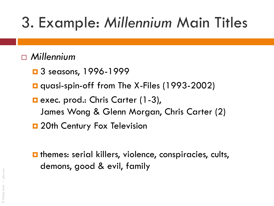#### *Millennium*

- $\Box$  3 seasons, 1996-1999
- **Q** quasi-spin-off from The X-Files (1993-2002)
- **E** exec. prod.: Chris Carter (1-3), James Wong & Glenn Morgan, Chris Carter (2)
- **D** 20th Century Fox Television
- $\blacksquare$  themes: serial killers, violence, conspiracies, cults, demons, good & evil, family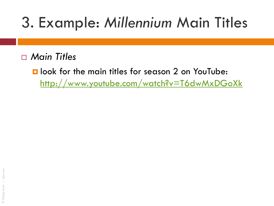*Main Titles*

**L** look for the main titles for season 2 on YouTube: <http://www.youtube.com/watch?v=T6dwMxDGoXk>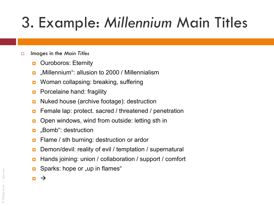#### Images in the *Main Titles*

- **D** Ouroboros: Eternity
- m "Millennium": allusion to 2000 / Millennialism
- **D** Woman collapsing: breaking, suffering
- **Porcelaine hand: fragility**
- **D** Nuked house (archive footage): destruction
- **EXTERNATE:** Female lap: protect. sacred / threatened / penetration
- **D** Open windows, wind from outside: letting sth in
- **D** "Bomb": destruction
- **Example 7 sth burning: destruction or ardor**
- Demon/devil: reality of evil / temptation / supernatural
- Hands joining: union / collaboration / support / comfort
- Sparks: hope or "up in flames"
- $\blacksquare$   $\rightarrow$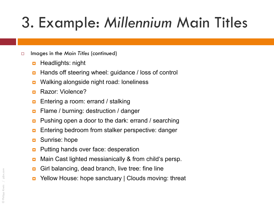- Images in the *Main Titles* (continued)
	- **<u>n</u>** Headlights: night
	- **Hands off steering wheel: guidance / loss of control**
	- **u** Walking alongside night road: loneliness
	- **B** Razor: Violence?
	- **Entering a room: errand / stalking**
	- **E** Flame / burning: destruction / danger
	- **Pushing open a door to the dark: errand / searching**
	- **Entering bedroom from stalker perspective: danger**
	- **D** Sunrise: hope
	- **Putting hands over face: desperation**
	- **n** Main Cast lighted messianically & from child's persp.
	- **Girl balancing, dead branch, live tree: fine line**
	- **D** Yellow House: hope sanctuary | Clouds moving: threat